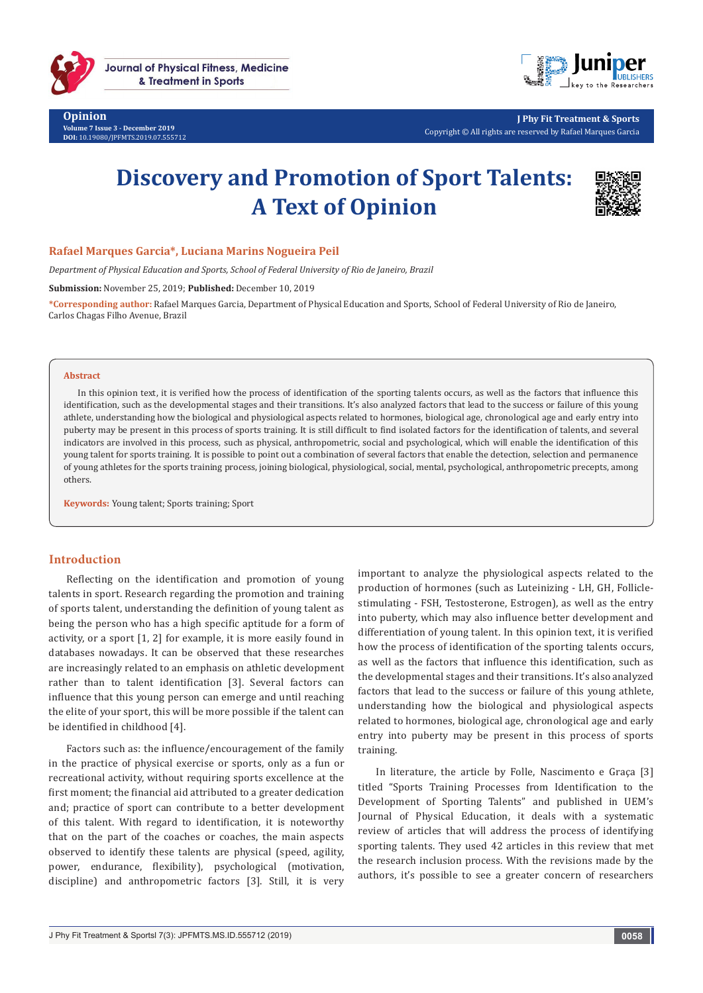

**Opinion Volume 7 Issue 3 - December 2019 DOI:** [10.19080/JPFMTS.2019.07.555712](http://dx.doi.org/10.19080/JPFMTS.2019.07.555712)



**J Phy Fit Treatment & Sports** Copyright © All rights are reserved by Rafael Marques Garcia

# **Discovery and Promotion of Sport Talents: A Text of Opinion**



### **Rafael Marques Garcia\*, Luciana Marins Nogueira Peil**

*Department of Physical Education and Sports, School of Federal University of Rio de Janeiro, Brazil* 

**Submission:** November 25, 2019; **Published:** December 10, 2019

**\*Corresponding author:** Rafael Marques Garcia, Department of Physical Education and Sports, School of Federal University of Rio de Janeiro, Carlos Chagas Filho Avenue, Brazil

#### **Abstract**

In this opinion text, it is verified how the process of identification of the sporting talents occurs, as well as the factors that influence this identification, such as the developmental stages and their transitions. It's also analyzed factors that lead to the success or failure of this young athlete, understanding how the biological and physiological aspects related to hormones, biological age, chronological age and early entry into puberty may be present in this process of sports training. It is still difficult to find isolated factors for the identification of talents, and several indicators are involved in this process, such as physical, anthropometric, social and psychological, which will enable the identification of this young talent for sports training. It is possible to point out a combination of several factors that enable the detection, selection and permanence of young athletes for the sports training process, joining biological, physiological, social, mental, psychological, anthropometric precepts, among others.

**Keywords:** Young talent; Sports training; Sport

### **Introduction**

Reflecting on the identification and promotion of young talents in sport. Research regarding the promotion and training of sports talent, understanding the definition of young talent as being the person who has a high specific aptitude for a form of activity, or a sport [1, 2] for example, it is more easily found in databases nowadays. It can be observed that these researches are increasingly related to an emphasis on athletic development rather than to talent identification [3]. Several factors can influence that this young person can emerge and until reaching the elite of your sport, this will be more possible if the talent can be identified in childhood [4].

Factors such as: the influence/encouragement of the family in the practice of physical exercise or sports, only as a fun or recreational activity, without requiring sports excellence at the first moment; the financial aid attributed to a greater dedication and; practice of sport can contribute to a better development of this talent. With regard to identification, it is noteworthy that on the part of the coaches or coaches, the main aspects observed to identify these talents are physical (speed, agility, power, endurance, flexibility), psychological (motivation, discipline) and anthropometric factors [3]. Still, it is very important to analyze the physiological aspects related to the production of hormones (such as Luteinizing - LH, GH, Folliclestimulating - FSH, Testosterone, Estrogen), as well as the entry into puberty, which may also influence better development and differentiation of young talent. In this opinion text, it is verified how the process of identification of the sporting talents occurs, as well as the factors that influence this identification, such as the developmental stages and their transitions. It's also analyzed factors that lead to the success or failure of this young athlete, understanding how the biological and physiological aspects related to hormones, biological age, chronological age and early entry into puberty may be present in this process of sports training.

In literature, the article by Folle, Nascimento e Graça [3] titled "Sports Training Processes from Identification to the Development of Sporting Talents" and published in UEM's Journal of Physical Education, it deals with a systematic review of articles that will address the process of identifying sporting talents. They used 42 articles in this review that met the research inclusion process. With the revisions made by the authors, it's possible to see a greater concern of researchers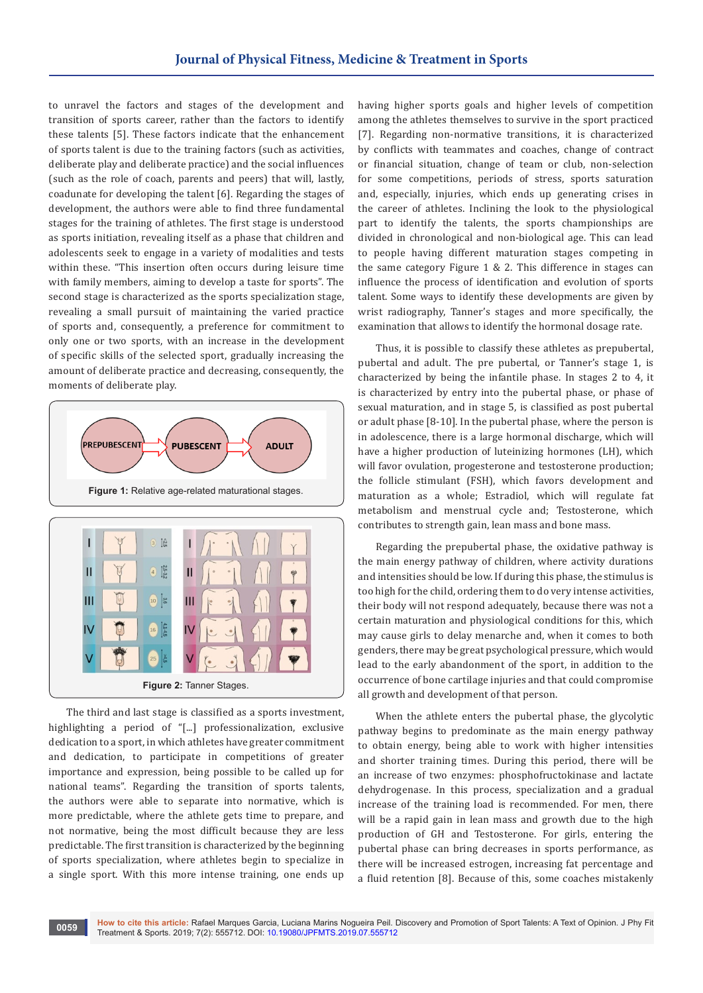to unravel the factors and stages of the development and transition of sports career, rather than the factors to identify these talents [5]. These factors indicate that the enhancement of sports talent is due to the training factors (such as activities, deliberate play and deliberate practice) and the social influences (such as the role of coach, parents and peers) that will, lastly, coadunate for developing the talent [6]. Regarding the stages of development, the authors were able to find three fundamental stages for the training of athletes. The first stage is understood as sports initiation, revealing itself as a phase that children and adolescents seek to engage in a variety of modalities and tests within these. "This insertion often occurs during leisure time with family members, aiming to develop a taste for sports". The second stage is characterized as the sports specialization stage, revealing a small pursuit of maintaining the varied practice of sports and, consequently, a preference for commitment to only one or two sports, with an increase in the development of specific skills of the selected sport, gradually increasing the amount of deliberate practice and decreasing, consequently, the moments of deliberate play.



The third and last stage is classified as a sports investment, highlighting a period of "[...] professionalization, exclusive dedication to a sport, in which athletes have greater commitment and dedication, to participate in competitions of greater importance and expression, being possible to be called up for national teams". Regarding the transition of sports talents, the authors were able to separate into normative, which is more predictable, where the athlete gets time to prepare, and not normative, being the most difficult because they are less predictable. The first transition is characterized by the beginning of sports specialization, where athletes begin to specialize in a single sport. With this more intense training, one ends up

having higher sports goals and higher levels of competition among the athletes themselves to survive in the sport practiced [7]. Regarding non-normative transitions, it is characterized by conflicts with teammates and coaches, change of contract or financial situation, change of team or club, non-selection for some competitions, periods of stress, sports saturation and, especially, injuries, which ends up generating crises in the career of athletes. Inclining the look to the physiological part to identify the talents, the sports championships are divided in chronological and non-biological age. This can lead to people having different maturation stages competing in the same category Figure 1 & 2. This difference in stages can influence the process of identification and evolution of sports talent. Some ways to identify these developments are given by wrist radiography, Tanner's stages and more specifically, the examination that allows to identify the hormonal dosage rate.

Thus, it is possible to classify these athletes as prepubertal, pubertal and adult. The pre pubertal, or Tanner's stage 1, is characterized by being the infantile phase. In stages 2 to 4, it is characterized by entry into the pubertal phase, or phase of sexual maturation, and in stage 5, is classified as post pubertal or adult phase [8-10]. In the pubertal phase, where the person is in adolescence, there is a large hormonal discharge, which will have a higher production of luteinizing hormones (LH), which will favor ovulation, progesterone and testosterone production; the follicle stimulant (FSH), which favors development and maturation as a whole; Estradiol, which will regulate fat metabolism and menstrual cycle and; Testosterone, which contributes to strength gain, lean mass and bone mass.

Regarding the prepubertal phase, the oxidative pathway is the main energy pathway of children, where activity durations and intensities should be low. If during this phase, the stimulus is too high for the child, ordering them to do very intense activities, their body will not respond adequately, because there was not a certain maturation and physiological conditions for this, which may cause girls to delay menarche and, when it comes to both genders, there may be great psychological pressure, which would lead to the early abandonment of the sport, in addition to the occurrence of bone cartilage injuries and that could compromise all growth and development of that person.

When the athlete enters the pubertal phase, the glycolytic pathway begins to predominate as the main energy pathway to obtain energy, being able to work with higher intensities and shorter training times. During this period, there will be an increase of two enzymes: phosphofructokinase and lactate dehydrogenase. In this process, specialization and a gradual increase of the training load is recommended. For men, there will be a rapid gain in lean mass and growth due to the high production of GH and Testosterone. For girls, entering the pubertal phase can bring decreases in sports performance, as there will be increased estrogen, increasing fat percentage and a fluid retention [8]. Because of this, some coaches mistakenly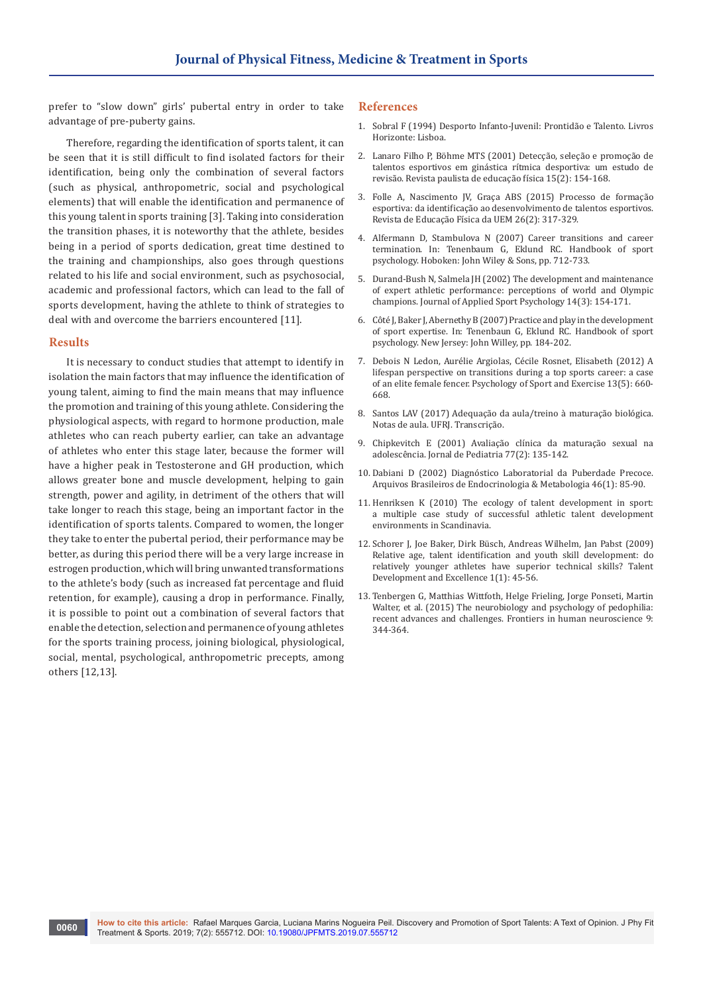prefer to "slow down" girls' pubertal entry in order to take advantage of pre-puberty gains.

Therefore, regarding the identification of sports talent, it can be seen that it is still difficult to find isolated factors for their identification, being only the combination of several factors (such as physical, anthropometric, social and psychological elements) that will enable the identification and permanence of this young talent in sports training [3]. Taking into consideration the transition phases, it is noteworthy that the athlete, besides being in a period of sports dedication, great time destined to the training and championships, also goes through questions related to his life and social environment, such as psychosocial, academic and professional factors, which can lead to the fall of sports development, having the athlete to think of strategies to deal with and overcome the barriers encountered [11].

#### **Results**

It is necessary to conduct studies that attempt to identify in isolation the main factors that may influence the identification of young talent, aiming to find the main means that may influence the promotion and training of this young athlete. Considering the physiological aspects, with regard to hormone production, male athletes who can reach puberty earlier, can take an advantage of athletes who enter this stage later, because the former will have a higher peak in Testosterone and GH production, which allows greater bone and muscle development, helping to gain strength, power and agility, in detriment of the others that will take longer to reach this stage, being an important factor in the identification of sports talents. Compared to women, the longer they take to enter the pubertal period, their performance may be better, as during this period there will be a very large increase in estrogen production, which will bring unwanted transformations to the athlete's body (such as increased fat percentage and fluid retention, for example), causing a drop in performance. Finally, it is possible to point out a combination of several factors that enable the detection, selection and permanence of young athletes for the sports training process, joining biological, physiological, social, mental, psychological, anthropometric precepts, among others [12,13].

#### **References**

- 1. Sobral F (1994) Desporto Infanto-Juvenil: Prontidão e Talento. Livros Horizonte: Lisboa.
- 2. [Lanaro Filho P, Böhme MTS \(2001\) Detecção, seleção e promoção de](https://www.bertrand.pt/livro/desporto-infanto-juvenil-francisco-sobral/79740)  [talentos esportivos em ginástica rítmica desportiva: um estudo de](https://www.bertrand.pt/livro/desporto-infanto-juvenil-francisco-sobral/79740)  [revisão. Revista paulista de educação física 15\(2\): 154-168.](https://www.bertrand.pt/livro/desporto-infanto-juvenil-francisco-sobral/79740)
- 3. [Folle A, Nascimento JV, Graça ABS \(2015\) Processo de formação](http://www.scielo.br/scielo.php?pid=S1983-30832015000200317&script=sci_abstract&tlng=pt)  [esportiva: da identificação ao desenvolvimento de talentos esportivos.](http://www.scielo.br/scielo.php?pid=S1983-30832015000200317&script=sci_abstract&tlng=pt)  [Revista de Educação Física da UEM 26\(2\): 317-329.](http://www.scielo.br/scielo.php?pid=S1983-30832015000200317&script=sci_abstract&tlng=pt)
- 4. [Alfermann D, Stambulova N \(2007\) Career transitions and career](https://psycnet.apa.org/record/2007-01666-040)  [termination. In: Tenenbaum G, Eklund RC. Handbook of sport](https://psycnet.apa.org/record/2007-01666-040)  [psychology. Hoboken: John Wiley & Sons, pp. 712-733.](https://psycnet.apa.org/record/2007-01666-040)
- 5. [Durand-Bush N, Salmela JH \(2002\) The development and maintenance](https://www.tandfonline.com/doi/abs/10.1080/10413200290103473)  [of expert athletic performance: perceptions of world and Olympic](https://www.tandfonline.com/doi/abs/10.1080/10413200290103473)  [champions. Journal of Applied Sport Psychology 14\(3\): 154-171.](https://www.tandfonline.com/doi/abs/10.1080/10413200290103473)
- 6. [Côté J, Baker J, Abernethy B \(2007\) Practice and play in the development](https://psycnet.apa.org/record/2007-01666-016)  [of sport expertise. In: Tenenbaun G, Eklund RC. Handbook of sport](https://psycnet.apa.org/record/2007-01666-016)  [psychology. New Jersey: John Willey, pp. 184-202.](https://psycnet.apa.org/record/2007-01666-016)
- 7. Debois N Ledon, Au[rélie Argiolas, Cécile Rosnet, Elisabeth \(2012\) A](https://psycnet.apa.org/record/2012-12876-001)  [lifespan perspective on transitions during a top sports career: a case](https://psycnet.apa.org/record/2012-12876-001)  [of an elite female fencer. Psychology of Sport and Exercise 13\(5\): 660-](https://psycnet.apa.org/record/2012-12876-001) [668.](https://psycnet.apa.org/record/2012-12876-001)
- 8. Santos LAV (2017) Adequação da aula/treino à maturação biológica. Notas de aula. UFRJ. Transcrição.
- 9. Chipkevitch E (2001) Avaliação clínica da maturação sexual na adolescência. Jornal de Pediatria 77(2): 135-142.
- 10. [Dabiani D \(2002\) Diagnóstico Laboratorial da Puberdade Precoce.](http://www.scielo.br/scielo.php?pid=S0004-27302002000100012&script=sci_abstract&tlng=pt)  [Arquivos Brasileiros de Endocrinologia & Metabologia 46\(1\): 85-90.](http://www.scielo.br/scielo.php?pid=S0004-27302002000100012&script=sci_abstract&tlng=pt)
- 11. Henriksen K (2010) The ecology of talent development in sport: a multiple case study of successful athletic talent development environments in Scandinavia.
- 12. Schorer J, Joe Baker, Dirk Büsch, Andreas Wilhelm, Jan Pabst (2009) Relative age, talent identification and youth skill development: do relatively younger athletes have superior technical skills? Talent Development and Excellence 1(1): 45-56.
- 13. [Tenbergen G, Matthias Wittfoth, Helge Frieling, Jorge Ponseti, Martin](https://www.frontiersin.org/articles/113366)  [Walter, et al. \(2015\) The neurobiology and psychology of pedophilia:](https://www.frontiersin.org/articles/113366)  [recent advances and challenges. Frontiers in human neuroscience 9:](https://www.frontiersin.org/articles/113366)  [344-364.](https://www.frontiersin.org/articles/113366)